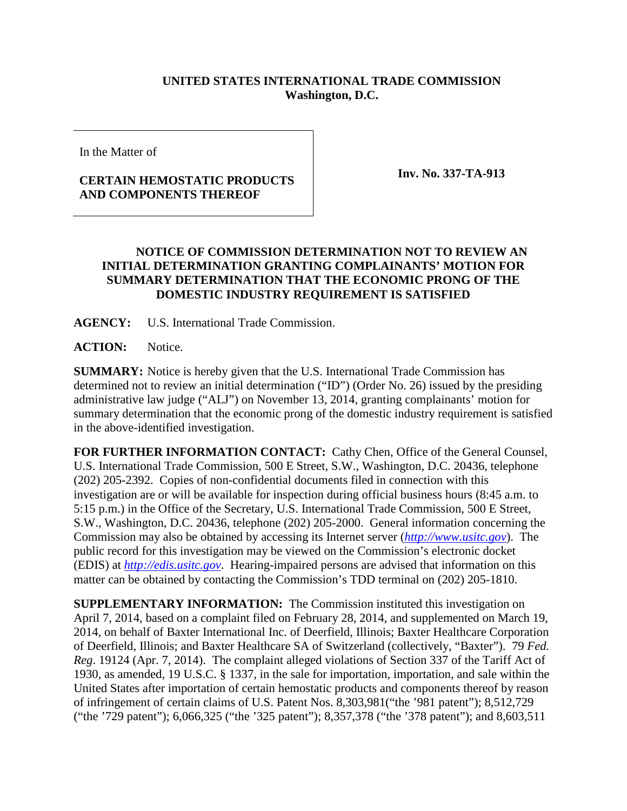## **UNITED STATES INTERNATIONAL TRADE COMMISSION Washington, D.C.**

In the Matter of

## **CERTAIN HEMOSTATIC PRODUCTS AND COMPONENTS THEREOF**

**Inv. No. 337-TA-913**

## **NOTICE OF COMMISSION DETERMINATION NOT TO REVIEW AN INITIAL DETERMINATION GRANTING COMPLAINANTS' MOTION FOR SUMMARY DETERMINATION THAT THE ECONOMIC PRONG OF THE DOMESTIC INDUSTRY REQUIREMENT IS SATISFIED**

**AGENCY:** U.S. International Trade Commission.

**ACTION:** Notice.

**SUMMARY:** Notice is hereby given that the U.S. International Trade Commission has determined not to review an initial determination ("ID") (Order No. 26) issued by the presiding administrative law judge ("ALJ") on November 13, 2014, granting complainants' motion for summary determination that the economic prong of the domestic industry requirement is satisfied in the above-identified investigation.

**FOR FURTHER INFORMATION CONTACT:** Cathy Chen, Office of the General Counsel, U.S. International Trade Commission, 500 E Street, S.W., Washington, D.C. 20436, telephone (202) 205-2392. Copies of non-confidential documents filed in connection with this investigation are or will be available for inspection during official business hours (8:45 a.m. to 5:15 p.m.) in the Office of the Secretary, U.S. International Trade Commission, 500 E Street, S.W., Washington, D.C. 20436, telephone (202) 205-2000. General information concerning the Commission may also be obtained by accessing its Internet server (*[http://www.usitc.gov](http://www.usitc.gov/)*). The public record for this investigation may be viewed on the Commission's electronic docket (EDIS) at *[http://edis.usitc.gov](http://edis.usitc.gov/)*. Hearing-impaired persons are advised that information on this matter can be obtained by contacting the Commission's TDD terminal on (202) 205-1810.

**SUPPLEMENTARY INFORMATION:** The Commission instituted this investigation on April 7, 2014, based on a complaint filed on February 28, 2014, and supplemented on March 19, 2014, on behalf of Baxter International Inc. of Deerfield, Illinois; Baxter Healthcare Corporation of Deerfield, Illinois; and Baxter Healthcare SA of Switzerland (collectively, "Baxter"). 79 *Fed. Reg*. 19124 (Apr. 7, 2014). The complaint alleged violations of Section 337 of the Tariff Act of 1930, as amended, 19 U.S.C. § 1337, in the sale for importation, importation, and sale within the United States after importation of certain hemostatic products and components thereof by reason of infringement of certain claims of U.S. Patent Nos. 8,303,981("the '981 patent"); 8,512,729 ("the '729 patent"); 6,066,325 ("the '325 patent"); 8,357,378 ("the '378 patent"); and 8,603,511